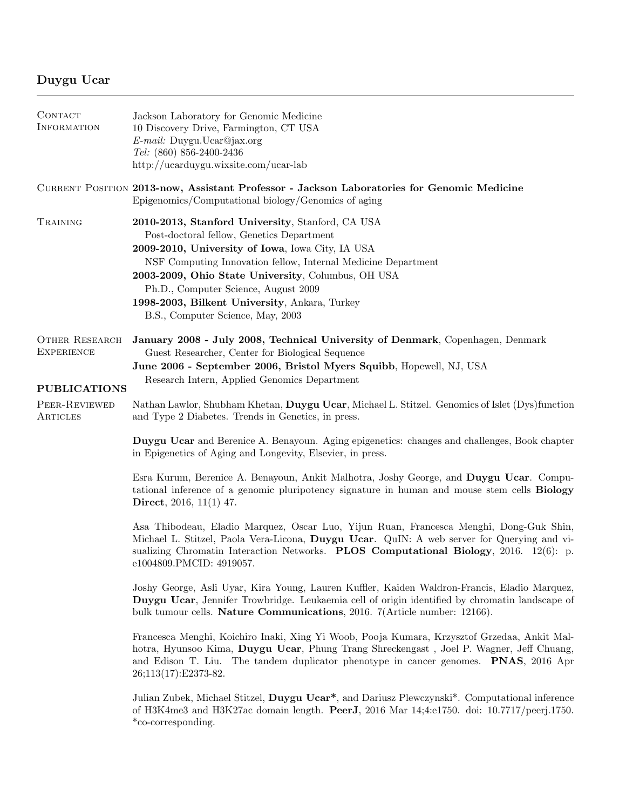## Duygu Ucar

| CONTACT<br><b>INFORMATION</b>                                     | Jackson Laboratory for Genomic Medicine<br>10 Discovery Drive, Farmington, CT USA<br>E-mail: Duygu.Ucar@jax.org<br>Tel: (860) 856-2400-2436<br>http://ucarduygu.wixsite.com/ucar-lab                                                                                                                                                                                                                   |
|-------------------------------------------------------------------|--------------------------------------------------------------------------------------------------------------------------------------------------------------------------------------------------------------------------------------------------------------------------------------------------------------------------------------------------------------------------------------------------------|
|                                                                   | CURRENT POSITION 2013-now, Assistant Professor - Jackson Laboratories for Genomic Medicine<br>Epigenomics/Computational biology/Genomics of aging                                                                                                                                                                                                                                                      |
| TRAINING                                                          | 2010-2013, Stanford University, Stanford, CA USA<br>Post-doctoral fellow, Genetics Department<br>2009-2010, University of Iowa, Iowa City, IA USA<br>NSF Computing Innovation fellow, Internal Medicine Department<br>2003-2009, Ohio State University, Columbus, OH USA<br>Ph.D., Computer Science, August 2009<br>1998-2003, Bilkent University, Ankara, Turkey<br>B.S., Computer Science, May, 2003 |
| <b>OTHER RESEARCH</b><br><b>EXPERIENCE</b><br><b>PUBLICATIONS</b> | January 2008 - July 2008, Technical University of Denmark, Copenhagen, Denmark<br>Guest Researcher, Center for Biological Sequence<br>June 2006 - September 2006, Bristol Myers Squibb, Hopewell, NJ, USA<br>Research Intern, Applied Genomics Department                                                                                                                                              |
| PEER-REVIEWED<br>ARTICLES                                         | Nathan Lawlor, Shubham Khetan, Duygu Ucar, Michael L. Stitzel. Genomics of Islet (Dys)function<br>and Type 2 Diabetes. Trends in Genetics, in press.                                                                                                                                                                                                                                                   |
|                                                                   | Duygu Ucar and Berenice A. Benayoun. Aging epigenetics: changes and challenges, Book chapter<br>in Epigenetics of Aging and Longevity, Elsevier, in press.                                                                                                                                                                                                                                             |
|                                                                   | Esra Kurum, Berenice A. Benayoun, Ankit Malhotra, Joshy George, and Duygu Ucar. Compu-<br>tational inference of a genomic pluripotency signature in human and mouse stem cells <b>Biology</b><br><b>Direct</b> , 2016, 11(1) 47.                                                                                                                                                                       |
|                                                                   | Asa Thibodeau, Eladio Marquez, Oscar Luo, Yijun Ruan, Francesca Menghi, Dong-Guk Shin,<br>Michael L. Stitzel, Paola Vera-Licona, Duygu Ucar. QuIN: A web server for Querying and vi-<br>sualizing Chromatin Interaction Networks. PLOS Computational Biology, 2016. 12(6): p.<br>e1004809.PMCID: 4919057.                                                                                              |
|                                                                   | Joshy George, Asli Uyar, Kira Young, Lauren Kuffler, Kaiden Waldron-Francis, Eladio Marquez,<br>Duygu Ucar, Jennifer Trowbridge. Leukaemia cell of origin identified by chromatin landscape of<br>bulk tumour cells. Nature Communications, 2016. 7(Article number: 12166).                                                                                                                            |
|                                                                   | Francesca Menghi, Koichiro Inaki, Xing Yi Woob, Pooja Kumara, Krzysztof Grzedaa, Ankit Mal-<br>hotra, Hyunsoo Kima, Duygu Ucar, Phung Trang Shreckengast, Joel P. Wagner, Jeff Chuang,<br>and Edison T. Liu. The tandem duplicator phenotype in cancer genomes. <b>PNAS</b> , 2016 Apr<br>26;113(17):E2373-82.                                                                                         |
|                                                                   | Julian Zubek, Michael Stitzel, Duygu Ucar*, and Dariusz Plewczynski*. Computational inference<br>of H3K4me3 and H3K27ac domain length. <b>PeerJ</b> , 2016 Mar 14;4:e1750. doi: 10.7717/peerj.1750.<br>*co-corresponding.                                                                                                                                                                              |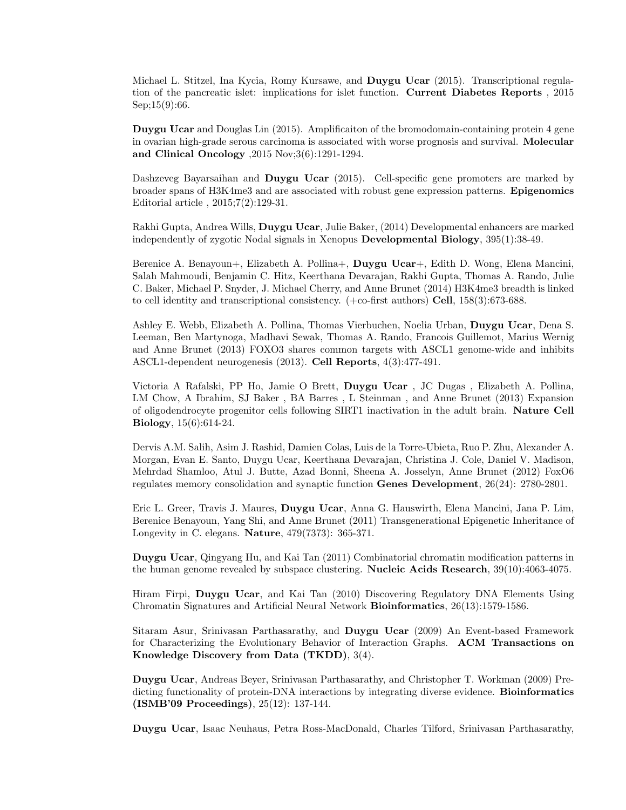Michael L. Stitzel, Ina Kycia, Romy Kursawe, and Duygu Ucar (2015). Transcriptional regulation of the pancreatic islet: implications for islet function. Current Diabetes Reports , 2015 Sep; 15(9):66.

Duygu Ucar and Douglas Lin (2015). Amplificaiton of the bromodomain-containing protein 4 gene in ovarian high-grade serous carcinoma is associated with worse prognosis and survival. Molecular and Clinical Oncology ,2015 Nov;3(6):1291-1294.

Dashzeveg Bayarsaihan and Duygu Ucar (2015). Cell-specific gene promoters are marked by broader spans of H3K4me3 and are associated with robust gene expression patterns. Epigenomics Editorial article , 2015;7(2):129-31.

Rakhi Gupta, Andrea Wills, Duygu Ucar, Julie Baker, (2014) Developmental enhancers are marked independently of zygotic Nodal signals in Xenopus Developmental Biology, 395(1):38-49.

Berenice A. Benayoun+, Elizabeth A. Pollina+, Duygu Ucar+, Edith D. Wong, Elena Mancini, Salah Mahmoudi, Benjamin C. Hitz, Keerthana Devarajan, Rakhi Gupta, Thomas A. Rando, Julie C. Baker, Michael P. Snyder, J. Michael Cherry, and Anne Brunet (2014) H3K4me3 breadth is linked to cell identity and transcriptional consistency. (+co-first authors) Cell, 158(3):673-688.

Ashley E. Webb, Elizabeth A. Pollina, Thomas Vierbuchen, Noelia Urban, Duygu Ucar, Dena S. Leeman, Ben Martynoga, Madhavi Sewak, Thomas A. Rando, Francois Guillemot, Marius Wernig and Anne Brunet (2013) FOXO3 shares common targets with ASCL1 genome-wide and inhibits ASCL1-dependent neurogenesis (2013). Cell Reports, 4(3):477-491.

Victoria A Rafalski, PP Ho, Jamie O Brett, Duygu Ucar , JC Dugas , Elizabeth A. Pollina, LM Chow, A Ibrahim, SJ Baker , BA Barres , L Steinman , and Anne Brunet (2013) Expansion of oligodendrocyte progenitor cells following SIRT1 inactivation in the adult brain. Nature Cell Biology, 15(6):614-24.

Dervis A.M. Salih, Asim J. Rashid, Damien Colas, Luis de la Torre-Ubieta, Ruo P. Zhu, Alexander A. Morgan, Evan E. Santo, Duygu Ucar, Keerthana Devarajan, Christina J. Cole, Daniel V. Madison, Mehrdad Shamloo, Atul J. Butte, Azad Bonni, Sheena A. Josselyn, Anne Brunet (2012) FoxO6 regulates memory consolidation and synaptic function Genes Development, 26(24): 2780-2801.

Eric L. Greer, Travis J. Maures, Duygu Ucar, Anna G. Hauswirth, Elena Mancini, Jana P. Lim, Berenice Benayoun, Yang Shi, and Anne Brunet (2011) Transgenerational Epigenetic Inheritance of Longevity in C. elegans. Nature, 479(7373): 365-371.

Duygu Ucar, Qingyang Hu, and Kai Tan (2011) Combinatorial chromatin modification patterns in the human genome revealed by subspace clustering. Nucleic Acids Research, 39(10):4063-4075.

Hiram Firpi, Duygu Ucar, and Kai Tan (2010) Discovering Regulatory DNA Elements Using Chromatin Signatures and Artificial Neural Network Bioinformatics, 26(13):1579-1586.

Sitaram Asur, Srinivasan Parthasarathy, and Duygu Ucar (2009) An Event-based Framework for Characterizing the Evolutionary Behavior of Interaction Graphs. ACM Transactions on Knowledge Discovery from Data (TKDD), 3(4).

Duygu Ucar, Andreas Beyer, Srinivasan Parthasarathy, and Christopher T. Workman (2009) Predicting functionality of protein-DNA interactions by integrating diverse evidence. **Bioinformatics** (ISMB'09 Proceedings), 25(12): 137-144.

Duygu Ucar, Isaac Neuhaus, Petra Ross-MacDonald, Charles Tilford, Srinivasan Parthasarathy,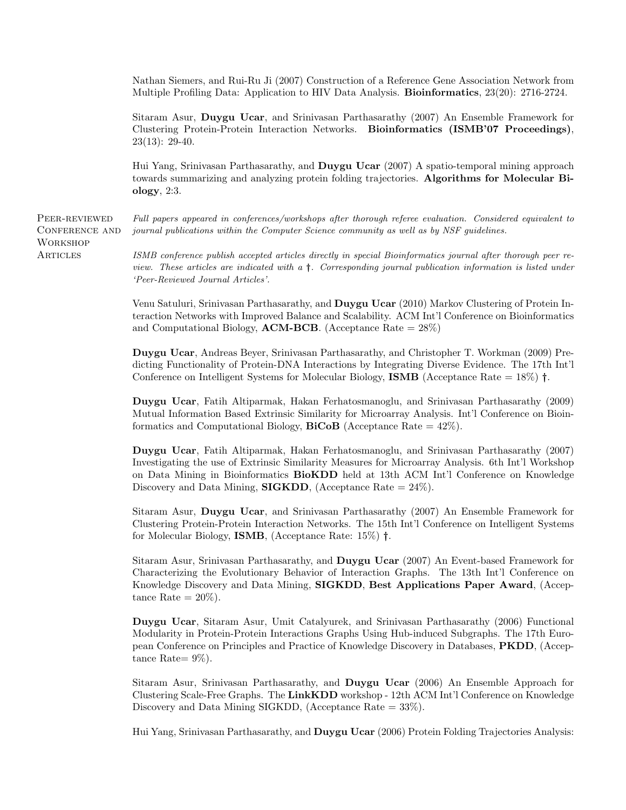Nathan Siemers, and Rui-Ru Ji (2007) Construction of a Reference Gene Association Network from Multiple Profiling Data: Application to HIV Data Analysis. Bioinformatics, 23(20): 2716-2724.

Sitaram Asur, Duygu Ucar, and Srinivasan Parthasarathy (2007) An Ensemble Framework for Clustering Protein-Protein Interaction Networks. Bioinformatics (ISMB'07 Proceedings), 23(13): 29-40.

Hui Yang, Srinivasan Parthasarathy, and Duygu Ucar (2007) A spatio-temporal mining approach towards summarizing and analyzing protein folding trajectories. Algorithms for Molecular Biology, 2:3.

PEER-REVIEWED Conference and **WORKSHOP ARTICLES** 

Full papers appeared in conferences/workshops after thorough referee evaluation. Considered equivalent to journal publications within the Computer Science community as well as by NSF guidelines.

ISMB conference publish accepted articles directly in special Bioinformatics journal after thorough peer review. These articles are indicated with a †. Corresponding journal publication information is listed under 'Peer-Reviewed Journal Articles'.

Venu Satuluri, Srinivasan Parthasarathy, and Duygu Ucar (2010) Markov Clustering of Protein Interaction Networks with Improved Balance and Scalability. ACM Int'l Conference on Bioinformatics and Computational Biology, **ACM-BCB**. (Acceptance Rate  $= 28\%)$ 

Duygu Ucar, Andreas Beyer, Srinivasan Parthasarathy, and Christopher T. Workman (2009) Predicting Functionality of Protein-DNA Interactions by Integrating Diverse Evidence. The 17th Int'l Conference on Intelligent Systems for Molecular Biology, **ISMB** (Acceptance Rate =  $18\%$ )  $\dagger$ .

Duygu Ucar, Fatih Altiparmak, Hakan Ferhatosmanoglu, and Srinivasan Parthasarathy (2009) Mutual Information Based Extrinsic Similarity for Microarray Analysis. Int'l Conference on Bioinformatics and Computational Biology,  $\text{BiCoB}$  (Acceptance Rate = 42%).

Duygu Ucar, Fatih Altiparmak, Hakan Ferhatosmanoglu, and Srinivasan Parthasarathy (2007) Investigating the use of Extrinsic Similarity Measures for Microarray Analysis. 6th Int'l Workshop on Data Mining in Bioinformatics BioKDD held at 13th ACM Int'l Conference on Knowledge Discovery and Data Mining, **SIGKDD**, (Acceptance Rate  $= 24\%$ ).

Sitaram Asur, Duygu Ucar, and Srinivasan Parthasarathy (2007) An Ensemble Framework for Clustering Protein-Protein Interaction Networks. The 15th Int'l Conference on Intelligent Systems for Molecular Biology, ISMB, (Acceptance Rate: 15%) †.

Sitaram Asur, Srinivasan Parthasarathy, and Duygu Ucar (2007) An Event-based Framework for Characterizing the Evolutionary Behavior of Interaction Graphs. The 13th Int'l Conference on Knowledge Discovery and Data Mining, SIGKDD, Best Applications Paper Award, (Acceptance Rate  $= 20\%$ ).

Duygu Ucar, Sitaram Asur, Umit Catalyurek, and Srinivasan Parthasarathy (2006) Functional Modularity in Protein-Protein Interactions Graphs Using Hub-induced Subgraphs. The 17th European Conference on Principles and Practice of Knowledge Discovery in Databases, PKDD, (Acceptance Rate $= 9\%$ ).

Sitaram Asur, Srinivasan Parthasarathy, and Duygu Ucar (2006) An Ensemble Approach for Clustering Scale-Free Graphs. The LinkKDD workshop - 12th ACM Int'l Conference on Knowledge Discovery and Data Mining SIGKDD, (Acceptance Rate  $= 33\%$ ).

Hui Yang, Srinivasan Parthasarathy, and **Duygu Ucar** (2006) Protein Folding Trajectories Analysis: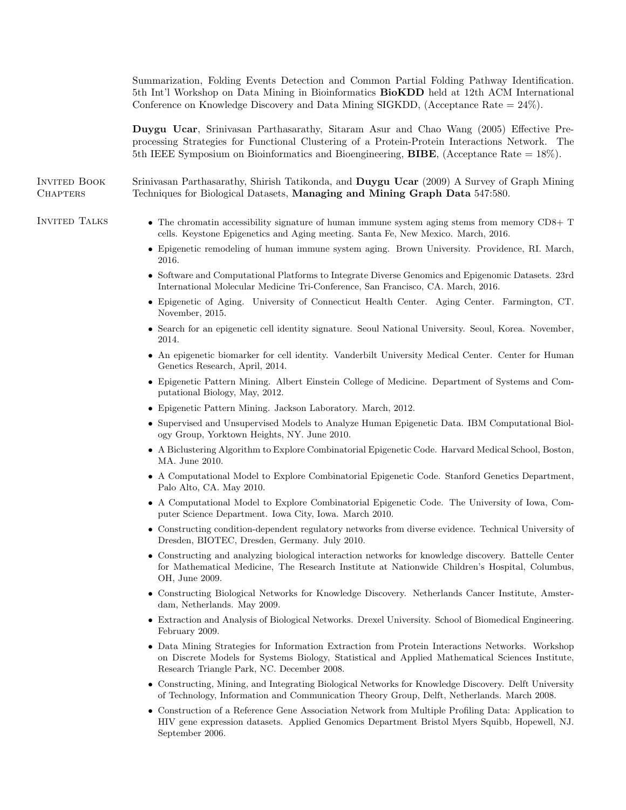Summarization, Folding Events Detection and Common Partial Folding Pathway Identification. 5th Int'l Workshop on Data Mining in Bioinformatics BioKDD held at 12th ACM International Conference on Knowledge Discovery and Data Mining SIGKDD, (Acceptance Rate = 24%). Duygu Ucar, Srinivasan Parthasarathy, Sitaram Asur and Chao Wang (2005) Effective Preprocessing Strategies for Functional Clustering of a Protein-Protein Interactions Network. The 5th IEEE Symposium on Bioinformatics and Bioengineering, BIBE, (Acceptance Rate = 18%). Invited Book **CHAPTERS** Srinivasan Parthasarathy, Shirish Tatikonda, and Duygu Ucar (2009) A Survey of Graph Mining Techniques for Biological Datasets, Managing and Mining Graph Data 547:580. INVITED TALKS • The chromatin accessibility signature of human immune system aging stems from memory CD8+ T cells. Keystone Epigenetics and Aging meeting. Santa Fe, New Mexico. March, 2016. • Epigenetic remodeling of human immune system aging. Brown University. Providence, RI. March, 2016. • Software and Computational Platforms to Integrate Diverse Genomics and Epigenomic Datasets. 23rd International Molecular Medicine Tri-Conference, San Francisco, CA. March, 2016. • Epigenetic of Aging. University of Connecticut Health Center. Aging Center. Farmington, CT. November, 2015. • Search for an epigenetic cell identity signature. Seoul National University. Seoul, Korea. November, 2014. • An epigenetic biomarker for cell identity. Vanderbilt University Medical Center. Center for Human Genetics Research, April, 2014. • Epigenetic Pattern Mining. Albert Einstein College of Medicine. Department of Systems and Computational Biology, May, 2012. • Epigenetic Pattern Mining. Jackson Laboratory. March, 2012. • Supervised and Unsupervised Models to Analyze Human Epigenetic Data. IBM Computational Biology Group, Yorktown Heights, NY. June 2010. • A Biclustering Algorithm to Explore Combinatorial Epigenetic Code. Harvard Medical School, Boston, MA. June 2010. • A Computational Model to Explore Combinatorial Epigenetic Code. Stanford Genetics Department, Palo Alto, CA. May 2010. • A Computational Model to Explore Combinatorial Epigenetic Code. The University of Iowa, Computer Science Department. Iowa City, Iowa. March 2010. • Constructing condition-dependent regulatory networks from diverse evidence. Technical University of Dresden, BIOTEC, Dresden, Germany. July 2010. • Constructing and analyzing biological interaction networks for knowledge discovery. Battelle Center for Mathematical Medicine, The Research Institute at Nationwide Children's Hospital, Columbus, OH, June 2009. • Constructing Biological Networks for Knowledge Discovery. Netherlands Cancer Institute, Amsterdam, Netherlands. May 2009. • Extraction and Analysis of Biological Networks. Drexel University. School of Biomedical Engineering. February 2009. • Data Mining Strategies for Information Extraction from Protein Interactions Networks. Workshop on Discrete Models for Systems Biology, Statistical and Applied Mathematical Sciences Institute, Research Triangle Park, NC. December 2008. • Constructing, Mining, and Integrating Biological Networks for Knowledge Discovery. Delft University of Technology, Information and Communication Theory Group, Delft, Netherlands. March 2008. • Construction of a Reference Gene Association Network from Multiple Profiling Data: Application to HIV gene expression datasets. Applied Genomics Department Bristol Myers Squibb, Hopewell, NJ. September 2006.